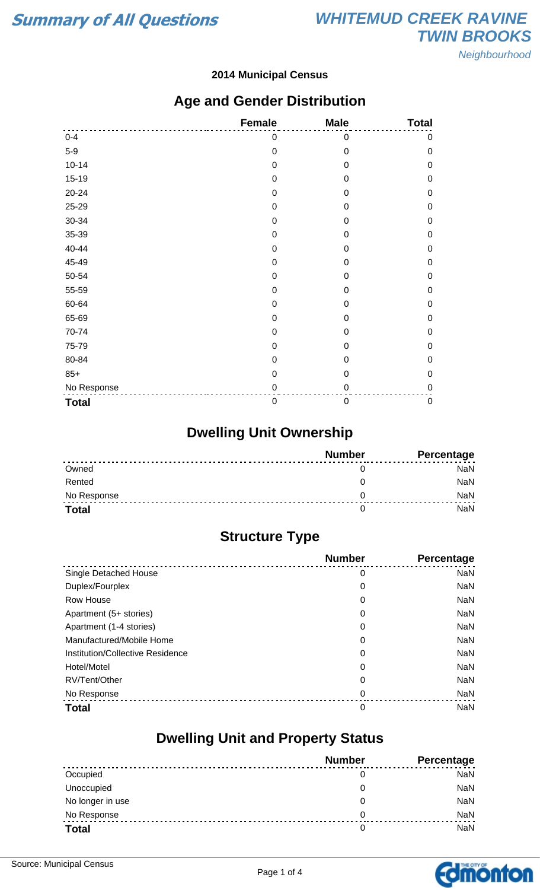#### **2014 Municipal Census**

### **Age and Gender Distribution**

|              | <b>Female</b>    | <b>Male</b>      | <b>Total</b> |
|--------------|------------------|------------------|--------------|
| $0 - 4$      | 0                | 0                | $\pmb{0}$    |
| $5-9$        | $\boldsymbol{0}$ | $\mathbf 0$      | $\mathbf 0$  |
| $10 - 14$    | $\mathbf 0$      | $\mathbf 0$      | $\mathbf 0$  |
| $15 - 19$    | $\mathbf 0$      | $\boldsymbol{0}$ | $\mathbf 0$  |
| 20-24        | $\mathbf 0$      | $\mathbf 0$      | $\mathbf 0$  |
| 25-29        | $\mathbf 0$      | 0                | $\mathbf 0$  |
| 30-34        | $\mathbf 0$      | 0                | $\mathbf 0$  |
| 35-39        | 0                | 0                | $\mathbf 0$  |
| 40-44        | $\mathbf 0$      | 0                | $\mathbf 0$  |
| 45-49        | $\boldsymbol{0}$ | $\boldsymbol{0}$ | $\mathbf 0$  |
| 50-54        | $\mathbf 0$      | $\mathbf 0$      | $\mathbf 0$  |
| 55-59        | $\mathbf 0$      | 0                | $\mathbf 0$  |
| 60-64        | $\mathbf 0$      | $\boldsymbol{0}$ | $\mathbf 0$  |
| 65-69        | $\mathbf 0$      | 0                | $\mathbf 0$  |
| 70-74        | $\mathbf 0$      | 0                | $\mathbf 0$  |
| 75-79        | $\mathbf 0$      | 0                | $\mathbf 0$  |
| 80-84        | $\mathbf 0$      | 0                | $\mathbf 0$  |
| $85+$        | $\mathbf 0$      | $\mathbf 0$      | $\mathbf 0$  |
| No Response  | $\pmb{0}$        | 0                | $\mathbf 0$  |
| <b>Total</b> | $\boldsymbol{0}$ | 0                | $\pmb{0}$    |

## **Dwelling Unit Ownership**

|              | <b>Number</b> | Percentage |
|--------------|---------------|------------|
| Owned        |               | NaN        |
| Rented       |               | <b>NaN</b> |
| No Response  |               | <b>NaN</b> |
| <b>Total</b> |               | NaN        |

### **Structure Type**

|                                  | <b>Number</b> | <b>Percentage</b> |
|----------------------------------|---------------|-------------------|
| Single Detached House            | 0             | <b>NaN</b>        |
| Duplex/Fourplex                  | 0             | <b>NaN</b>        |
| Row House                        | 0             | <b>NaN</b>        |
| Apartment (5+ stories)           | 0             | <b>NaN</b>        |
| Apartment (1-4 stories)          | 0             | <b>NaN</b>        |
| Manufactured/Mobile Home         | 0             | <b>NaN</b>        |
| Institution/Collective Residence | 0             | <b>NaN</b>        |
| Hotel/Motel                      | 0             | <b>NaN</b>        |
| RV/Tent/Other                    | 0             | <b>NaN</b>        |
| No Response                      | 0             | <b>NaN</b>        |
| <b>Total</b>                     | 0             | <b>NaN</b>        |

### **Dwelling Unit and Property Status**

|                  | <b>Number</b> | <b>Percentage</b> |
|------------------|---------------|-------------------|
| Occupied         | 0             | <b>NaN</b>        |
| Unoccupied       | 0             | NaN               |
| No longer in use | 0             | NaN               |
| No Response      | 0             | NaN               |
| <b>Total</b>     | 0             | NaN               |

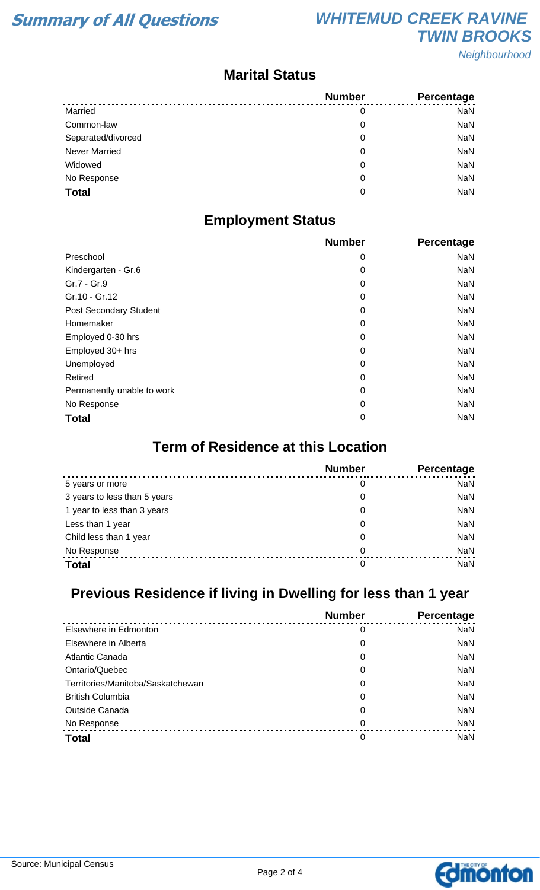**Neighbourhood** 

### **Marital Status**

|                      | <b>Number</b> | Percentage |
|----------------------|---------------|------------|
| Married              | 0             | <b>NaN</b> |
| Common-law           | 0             | <b>NaN</b> |
| Separated/divorced   | 0             | <b>NaN</b> |
| <b>Never Married</b> | 0             | <b>NaN</b> |
| Widowed              | 0             | <b>NaN</b> |
| No Response          | 0             | <b>NaN</b> |
| <b>Total</b>         | 0             | <b>NaN</b> |

### **Employment Status**

|                               | <b>Number</b> | Percentage |
|-------------------------------|---------------|------------|
| Preschool                     | 0             | <b>NaN</b> |
| Kindergarten - Gr.6           | 0             | <b>NaN</b> |
| Gr.7 - Gr.9                   | 0             | <b>NaN</b> |
| Gr.10 - Gr.12                 | 0             | <b>NaN</b> |
| <b>Post Secondary Student</b> | 0             | <b>NaN</b> |
| Homemaker                     | 0             | <b>NaN</b> |
| Employed 0-30 hrs             | 0             | <b>NaN</b> |
| Employed 30+ hrs              | 0             | <b>NaN</b> |
| Unemployed                    | 0             | <b>NaN</b> |
| Retired                       | 0             | <b>NaN</b> |
| Permanently unable to work    | 0             | <b>NaN</b> |
| No Response                   | 0             | <b>NaN</b> |
| <b>Total</b>                  | 0             | <b>NaN</b> |

### **Term of Residence at this Location**

|                              | <b>Number</b> | Percentage |
|------------------------------|---------------|------------|
| 5 years or more              | 0             | <b>NaN</b> |
| 3 years to less than 5 years | 0             | <b>NaN</b> |
| 1 year to less than 3 years  | 0             | <b>NaN</b> |
| Less than 1 year             | 0             | <b>NaN</b> |
| Child less than 1 year       | 0             | <b>NaN</b> |
| No Response                  | 0             | <b>NaN</b> |
| <b>Total</b>                 | 0             | <b>NaN</b> |

## **Previous Residence if living in Dwelling for less than 1 year**

|                                   | <b>Number</b> | Percentage |
|-----------------------------------|---------------|------------|
| Elsewhere in Edmonton             | 0             | <b>NaN</b> |
| Elsewhere in Alberta              | 0             | <b>NaN</b> |
| <b>Atlantic Canada</b>            | 0             | <b>NaN</b> |
| Ontario/Quebec                    | 0             | <b>NaN</b> |
| Territories/Manitoba/Saskatchewan | 0             | <b>NaN</b> |
| <b>British Columbia</b>           | 0             | <b>NaN</b> |
| <b>Outside Canada</b>             | 0             | <b>NaN</b> |
| No Response                       | 0             | <b>NaN</b> |
| <b>Total</b>                      | 0             | <b>NaN</b> |

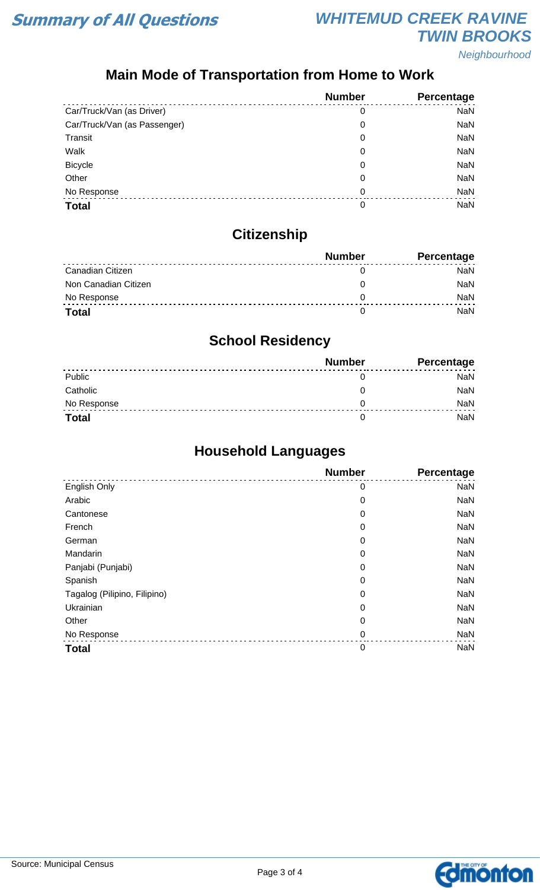

Neighbourhood

## **Main Mode of Transportation from Home to Work**

|                              | <b>Number</b> | Percentage |
|------------------------------|---------------|------------|
| Car/Truck/Van (as Driver)    | 0             | <b>NaN</b> |
| Car/Truck/Van (as Passenger) | 0             | <b>NaN</b> |
| Transit                      | 0             | <b>NaN</b> |
| Walk                         | 0             | <b>NaN</b> |
| <b>Bicycle</b>               | 0             | <b>NaN</b> |
| Other                        | 0             | <b>NaN</b> |
| No Response                  | 0             | <b>NaN</b> |
| <b>Total</b>                 | 0             | NaN        |

# **Citizenship**

|                      | <b>Number</b> | <b>Percentage</b> |
|----------------------|---------------|-------------------|
| Canadian Citizen     |               | NaN               |
| Non Canadian Citizen |               | <b>NaN</b>        |
| No Response          |               | <b>NaN</b>        |
| <b>Total</b>         |               | NaN               |

### **School Residency**

|              | <b>Number</b> | <b>Percentage</b> |
|--------------|---------------|-------------------|
| Public       |               | NaN               |
| Catholic     |               | NaN               |
| No Response  |               | <b>NaN</b>        |
| <b>Total</b> |               | NaN               |

## **Household Languages**

|                              | <b>Number</b> | Percentage |
|------------------------------|---------------|------------|
| English Only                 | 0             | <b>NaN</b> |
| Arabic                       | 0             | <b>NaN</b> |
| Cantonese                    | 0             | <b>NaN</b> |
| French                       | 0             | <b>NaN</b> |
| German                       | 0             | <b>NaN</b> |
| Mandarin                     | 0             | <b>NaN</b> |
| Panjabi (Punjabi)            | 0             | <b>NaN</b> |
| Spanish                      | 0             | <b>NaN</b> |
| Tagalog (Pilipino, Filipino) | 0             | <b>NaN</b> |
| Ukrainian                    | 0             | <b>NaN</b> |
| Other                        | 0             | <b>NaN</b> |
| No Response                  | $\mathbf 0$   | <b>NaN</b> |
| <b>Total</b>                 | $\mathbf 0$   | <b>NaN</b> |